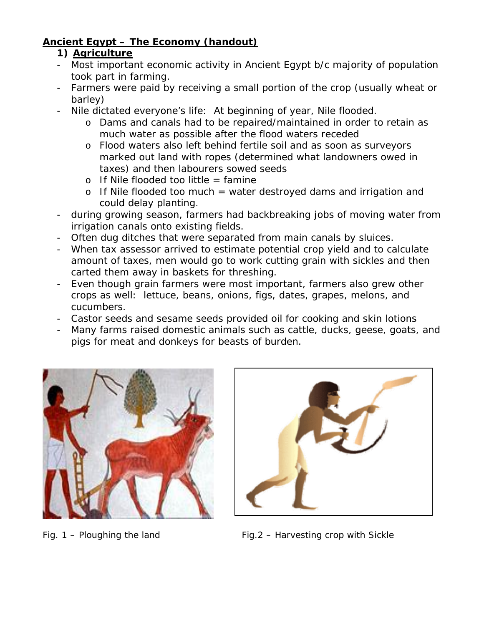## **Ancient Egypt – The Economy (handout)**

## **1) Agriculture**

- Most important economic activity in Ancient Egypt b/c majority of population took part in farming.
- Farmers were paid by receiving a small portion of the crop (usually wheat or barley)
- Nile dictated everyone's life: At beginning of year, Nile flooded.
	- o Dams and canals had to be repaired/maintained in order to retain as much water as possible after the flood waters receded
	- o Flood waters also left behind fertile soil and as soon as surveyors marked out land with ropes (determined what landowners owed in taxes) and then labourers sowed seeds
	- $\circ$  If Nile flooded too little = famine
	- o If Nile flooded too much = water destroyed dams and irrigation and could delay planting.
- during growing season, farmers had backbreaking jobs of moving water from irrigation canals onto existing fields.
- Often dug ditches that were separated from main canals by sluices.
- When tax assessor arrived to estimate potential crop yield and to calculate amount of taxes, men would go to work cutting grain with sickles and then carted them away in baskets for threshing.
- Even though grain farmers were most important, farmers also grew other crops as well: lettuce, beans, onions, figs, dates, grapes, melons, and cucumbers.
- Castor seeds and sesame seeds provided oil for cooking and skin lotions
- Many farms raised domestic animals such as cattle, ducks, geese, goats, and pigs for meat and donkeys for beasts of burden.





Fig.  $1$  – Ploughing the land Fig. 2 – Harvesting crop with Sickle